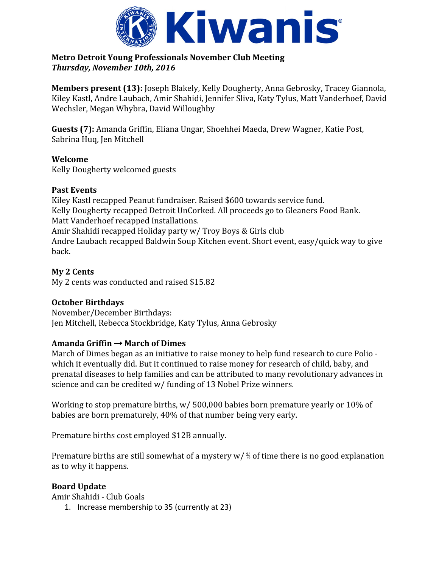

### **Metro Detroit Young Professionals November Club Meeting** *Thursday, November 10th, 2016*

**Members present (13):** Joseph Blakely, Kelly Dougherty, Anna Gebrosky, Tracey Giannola, Kiley Kastl, Andre Laubach, Amir Shahidi, Jennifer Sliva, Katy Tylus, Matt Vanderhoef, David Wechsler, Megan Whybra, David Willoughby

**Guests (7):** Amanda Griffin, Eliana Ungar, Shoehhei Maeda, Drew Wagner, Katie Post, Sabrina Huq, Jen Mitchell

# **Welcome**

Kelly Dougherty welcomed guests

### **Past Events**

Kiley Kastl recapped Peanut fundraiser. Raised \$600 towards service fund. Kelly Dougherty recapped Detroit UnCorked. All proceeds go to Gleaners Food Bank. Matt Vanderhoef recapped Installations. Amir Shahidi recapped Holiday party w/ Troy Boys & Girls club Andre Laubach recapped Baldwin Soup Kitchen event. Short event, easy/quick way to give back.

# **My 2 Cents**

My 2 cents was conducted and raised \$15.82

# **October Birthdays**

November/December Birthdays: Jen Mitchell, Rebecca Stockbridge, Katy Tylus, Anna Gebrosky

# **Amanda Griffin** → **March of Dimes**

March of Dimes began as an initiative to raise money to help fund research to cure Polio which it eventually did. But it continued to raise money for research of child, baby, and prenatal diseases to help families and can be attributed to many revolutionary advances in science and can be credited w/ funding of 13 Nobel Prize winners.

Working to stop premature births, w/ 500,000 babies born premature yearly or 10% of babies are born prematurely, 40% of that number being very early.

Premature births cost employed \$12B annually.

Premature births are still somewhat of a mystery w/ ⅔ of time there is no good explanation as to why it happens.

# **Board Update**

Amir Shahidi - Club Goals

1. Increase membership to 35 (currently at 23)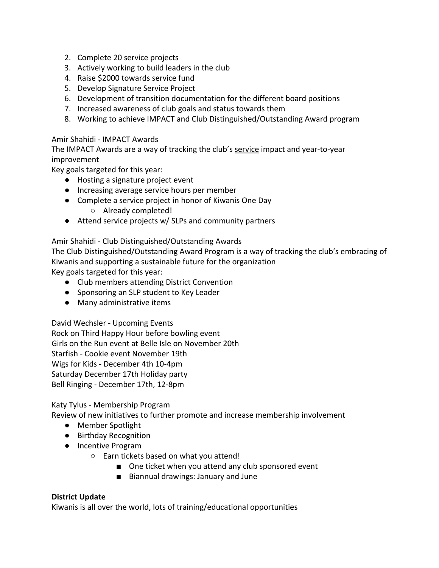- 2. Complete 20 service projects
- 3. Actively working to build leaders in the club
- 4. Raise \$2000 towards service fund
- 5. Develop Signature Service Project
- 6. Development of transition documentation for the different board positions
- 7. Increased awareness of club goals and status towards them
- 8. Working to achieve IMPACT and Club Distinguished/Outstanding Award program

#### Amir Shahidi - IMPACT Awards

The IMPACT Awards are a way of tracking the club's service impact and year-to-year improvement

Key goals targeted for this year:

- Hosting a signature project event
- Increasing average service hours per member
- Complete a service project in honor of Kiwanis One Day ○ Already completed!
- Attend service projects w/ SLPs and community partners

#### Amir Shahidi - Club Distinguished/Outstanding Awards

The Club Distinguished/Outstanding Award Program is a way of tracking the club's embracing of Kiwanis and supporting a sustainable future for the organization Key goals targeted for this year:

- Club members attending District Convention
- Sponsoring an SLP student to Key Leader
- Many administrative items

David Wechsler - Upcoming Events Rock on Third Happy Hour before bowling event Girls on the Run event at Belle Isle on November 20th Starfish - Cookie event November 19th Wigs for Kids - December 4th 10-4pm Saturday December 17th Holiday party Bell Ringing - December 17th, 12-8pm

#### Katy Tylus - Membership Program

Review of new initiatives to further promote and increase membership involvement

- Member Spotlight
- Birthday Recognition
- Incentive Program
	- Earn tickets based on what you attend!
		- One ticket when you attend any club sponsored event
		- Biannual drawings: January and June

#### **District Update**

Kiwanis is all over the world, lots of training/educational opportunities